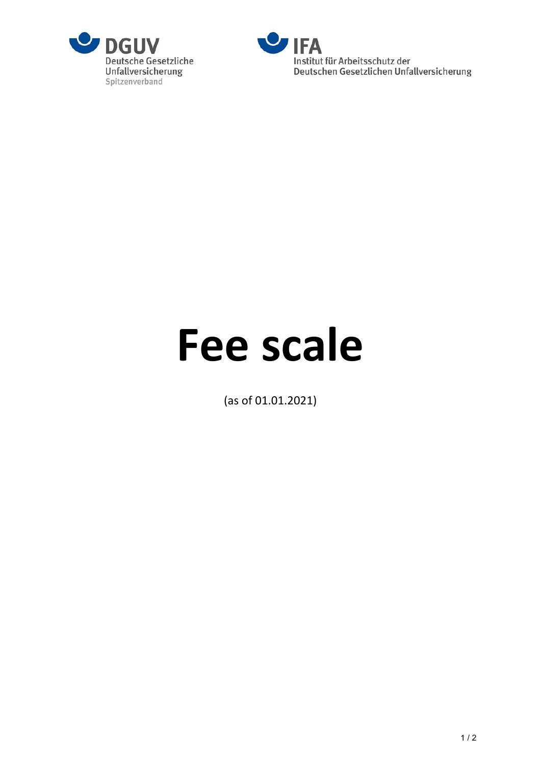



# **Fee scale**

(as of 01.01.2021)